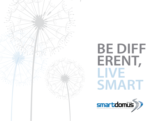

# **BE DIFF ERENT, LIVE SMART**

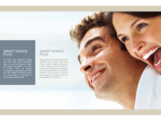## SMART DOMUS PLUS.

Di fronte alle molteplici qualità che una casa deve possedere oggi, un pool di aziende, leader nel settore dell'edilizia, ha unito le proprie forze, le proprie competenze e specificità, per dare vita alla SMART DOMUS PLUS, un concentrato di tecnologia e qualità alla portata di tutti.

## *SMART DOMUS PLUS.*

*Taking into account all the manifold qualities that a house shall have today, a team of leader companies in the building sector, decided to join forces, skills and their specificity in order to give birth to the SMART DOMUS PLUS house: a series of technologies and quality that can be available to everybody.*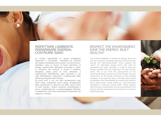### RISPETTARE L'AMBIENTE, RISPARMIARE ENERGIA, COSTRUIRE SANO

La limitata disponibilità di risorse energetiche tradizionali e l'aumentata sensibilità nei confronti del rispetto ambientale hanno spinto il mondo tecnicoscientifico verso la ricerca di forme alternative di energia caratterizzate dall'essere rinnovabili e pulite. La soluzione per risolvere a monte il problema energetico passa prima di tutto attraverso il miglioramento dell'efficienza delle macchine o, nel caso dell'abitazione, attraverso il miglioramento della efficienza energetica dell'involucro.

Da pochi anni, e con una forte accelerazione negli ultimi tempi, soprattutto anche grazie all'esperienza della ricostruzione in Abruzzo nel 2009, hanno avuto un forte impulso i sistemi costruttivi industrializzati a secco, caratterizzati da un preassemblaggio effettuato in stabilimento, che limita notevolmente le operazioni da eseguire in cantiere.

## *RESPECT THE ENVIRONMENT, SAVE THE ENERGY, BUILT HEALTHY*

*The limited availability of traditional Energy resources and the increased sensibility towards the environment prompt the technical/scientific world towards the search for alternative energy forms that shall be renewable and clean. However, in order to solve the Energy problem from the beginning, the real solution starts, first of all, from the improvement of the machines efficiency as well as, for the houses, from the improvment of the Energy efficiency of the building envelope. In the past few years, and lately with a great acceleration, the industrialized dry construction systems had a great boost, mainly thanks to o reconstruction experience in Abruzzo during 2009. These systems have the main characteristic to be pre-assembled in the plant so that the operations to be carried out on site are significantly less.* 

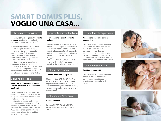## **SMART DOMUS PLUS, VOGLIO UNA CASA...**

#### ...che sia al mio servizio.

#### **Tecnologicamente, qualitativamente avanzata** (realizzata con sistemi costruttivi a secco industrializzati).

Al centro di ogni scelta c'è, e deve esserci sempre chi abita la casa, il suo stile di vita, le sue necessità; qualunque attività di progetto o applicazione tecnologica deve essere al suo servizio, gestendo le complessità per rendere effettivamente facile, semplice e appagante abitare la propria casa. Con i sistemi di edilizia industrializzata a secco questo traguardo si raggiunge rapidamente e con un notevole abbattimento di costi e tempistiche.

#### ...che mi protegga.

#### **Sicura dal punto di vista statico e sismico ed in fase di realizzazione (cantiere).**

Peso contenuto, maggior elasticità, elevata duttilità della costruzione nei suoi giunti, capacità dissipativa della struttura: queste sono le caratteristiche che permettono ad una casa SMART DOMUS PLUS di resistere agli effetti di un sisma. Ma la sicurezza della casa SMART DOMUS PLUS nasce ancor prima, fin dalla posa in opera in cantiere, rapida e senza il rischio di incidenti!

#### ...che mi faccia sentire bene.

#### **Termicamente e acusticamente isolata.**

Bassa conducibilità termica associata ad elevata inerzia per garantire minori consumi nel riscaldamento invernale e per il raffrescamento estivo, nonché un isolamento acustico e termico con prestazioni di molto superiori ai valori di legge!

Una casa SMART DOMUS PLUS è sinonimo di comfort e benessere abitativo, dall'involucro al serramento!

#### ...che mi dia energia.

#### **A basso consumo energetico.**

Una casa SMART DOMUS PLUS è dotata delle più raffinate tecnologie impiantistiche per ridurre al minimo i consumi: tecnologia domotica evoluta, energie rinnovabili, impianti di ultima generazione!

#### ...che rispetti l'ambiente.

#### **Eco-sostenibile.**

La casa SMART DOMUS PLUS è amica dell'ambiente e riciclabile al 100%,

#### ...che mi faccia risparmiare.

#### **Accessibile dal punto di vista economico.**

Una casa SMART DOMUS PLUS è trasparente nei costi, certi fin dalla fase di preventivazione e senza sorprese in corso d'opera! Inoltre, anche gli oneri di gestione risulteranno essere notevolmente ridotti rispetto a quelli di un edificio tradizionale, con risparmi fino all'80%!

#### ...che mi dia sicurezza.

#### **Certificata e garantita.**

Una casa SMART DOMUS PLUS è dotata di tutte le necessarie certificazioni e costituisce un investimento sicuro che si rivaluta nel tempo.





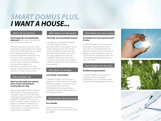## *SMART DOMUS PLUS, I WANT A HOUSE***...**

#### *...that is at my service.*

#### *Technologically and qualitatively*

*advanced (built using industrialized dry construction methods).*

*The main point of all choices is and shall always be the person who lives in the house, his life style and his needs; all the design activities and the technical applications shall be at his service in order to manage the complexity so that living his own house is easy, simple and satisfying. By using industrialized dry construction methods, this aim is quickly reached and with a significant reduction of both costs and time.*

#### *...that protects me.*

#### *Safe from the static and seismic point of view and during its construction (on site).*

*Reasonable weight, higher elasticity, high ductility of the building joints, dissipative capacity of the structure: these are the characteristics that allow a SMART DOMUS PLUS house to resist to seismic loads. However, the safety of a SMART DOMUS PLUS house starts even before, from its construction on site that is fast and without risk of accidents!* 

#### *...that makes me feel good.*

#### *Thermally and acoustically isolated.*

*Low thermal conducibility together with high inertia in order to guarantee lower consumption during winter heating and for the summer cooling; moreover an acoustic and thermal insulation highly superior to the values requested by the law! A SMART DOMUS PLUS house is a synonym for comfort and housing wellness, starting from the envelope to the windows!*

#### *...that gives me energy.*

#### *Low Energy consumption.*

*A SMART DOMUS PLUS house is equipped with the most sophisticated M&E technologies in order to reduce consumption at its minimum: fully-developed home automation, renewable energies, M&E systems of the latest generation!* 

#### *...that respects the environment.*

#### *Eco-friendly.*

*SMART DOMUS PLUS house is a friend of the environment and is 100% recyclable.* 

#### *...that makes me save money.*

*Accessible from the economic point of view.*

*A SMART DOMUS PLUS house has transparent costs, that are certain since the cost-estimate phase and without surprises during construction! Moreover, the maintenance costs is highly reduced compared to the ones of a traditional building, allowing to save up to 80%!* 

#### *...that will give me security.*

#### *Certified and guaranteed.*

*A SMART DOMUS PLUS house is equipped with all necessary certifications and constitutes a safe investment that appreciates over time.*





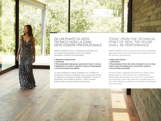



## DA UN PUNTO DI VISTA TECNICO OGGI LA CASA DEVE ESSERE PRESTAZIONALE

SMART DOMUS PLUS è un'abitazione realizzata con tecnologie industrializzate a secco ad elevate prestazioni caratterizzata dall'essere:

- Altamente prestazionale
- Certificata
- Personalizzabile (dal grezzo avanzato al chiavi in mano)
- Realizzata con sistemi costruttivi a secco industrializzati
- Economicamente accessibile

La casa intelligente è stata progettata con l'obiettivo di consentire un bilancio energetico pari a zero grazie all'uso di materiali e tecnologie in grado di abbattere i consumi e soprattutto di annullare gli sprechi, il tutto nel pieno rispetto delle normative italiane ed europee.

*TODAY, FROM THE TECHNICAL POINT OF VIEW, THE HOUSE SHALL BE PERFORMANCE*

*SMART DOMUS PLUS is a house built using industrialized high performance dry construction technologies that have the following specifications:*

- *High performances*
- *Certification*
- *Personalization (from the close envelope to turn-on-key)*
- *Built using industrialized dry construction systems*
- *Economically accessible*

*A clever house is designed with the aim to obtain a zero Energy balance, thanks to the use of materials and technologies that are able to cut down the consumption and especially to eliminate instances of wastefulness; all this is done abiding completely to the Italian and European structural codes.*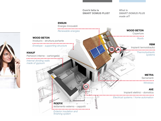**Com'è fatta la SMART DOMUS PLUS?**

*What is SMART DOMUS PLUS made of?*

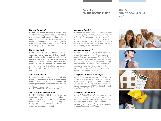### **Per chi è SMART DOMLIS PLUS?**

#### *Who is SMART DOMUS PLUS for?*

#### **Sei una famiglia?**

Certezza dei costi e dei tempi di realizzazione, qualità certificata, rispondenza alle normative, mantenimento del valore dell'immobile nel corso del tempo, costi di gestione ridotti: è questo ciò a cui più guarda una famiglia che deve costruire casa, e con SMART DOMUS PLUS tali priorità sono garantite.

#### **Sei un tecnico?**

SMART DOMUS PLUS nasce dalla tua creatività, concretizzando il tuo progetto nel rispetto delle normative, dalla nuova legge antisismica, all'acustica, al risparmio energetico. Con l'edilizia industrializzata inoltre le fasi di cantiere si accorciano, riducendo il rischio di incidenti e garantendo il rispetto dei tempi di consegna per i tuoi committenti.

#### **Sei un'immobiliare?**

Proporre ai propri clienti case ad alto risparmio energetico e sismicamente sicure, significa garantire il loro investimento ed essere già al passo con le normative presenti e future.

SMART DOMUS PLUS precorre i tempi!

#### **Sei un'impresa costruttrice?**

SMART DOMUS PLUS ti affianca per soddisfare i tuoi clienti con un prodotto di altissima qualità, la cui realizzazione rispetta sempre le tempistiche, senza sorprese. Le tipologie sono infinite e costruire casa è davvero un gioco da ragazzi!

#### *Are you a family?*

*Certainty of costs and construction time, certified quality, in compliance with the law, value of the building preserved over time, reduced maintenance costs: this is what is more important for a family that needs to built its house, and with SMART DOMUS PLUS those priorities are fulfilled.*

#### *Are you an expert?*

*SMART DOMUS PLUS is born from your creativity, making your design real, while complying with the codes, the new seismic regulations, the acoustic regulations and the energy saving requirements. Using industrialized buildings, the construction phases on site get shorter so that the risk of accidents is reduced and the delivery time to the clients is respected.*

#### *Are you a property company?*

*Proposing to your own clients houses that have a high energy saving and that are seismically safe means to guarantee their investment and to be up to date with the current and future regulations. SMART DOMUS PLUS anticipates the times!*

#### *Are you a building firm?*

*SMART DOMUS PLUS supports you to satisfy your clients with a high quality product, whose realization respects the delivery time without any surprise. The various types are infinite and building a house becomes a child's play!*







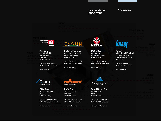**Le aziende del** *Companies* **PROGETTO**



Partizioni int<sup>ria Mazzini, 75</sup>mgessi *Internal dividing walls* Brescia - Italy **Ave Spa Head Office** Rezzato

*made of gypsum* Tel. +39 030 24981 Fax +39 030 2792605

www.ave.it



**RBM Spa** via S. Giuseppe, 1 Nave Brescia - Italy

**Roefix** Tel. +39 030 2537211 Fax +39 030 2531799

www.rbm.eu



**Elettropiemme Srl** via Provinciale, 25/A Rodengo Saiano Brescia - Italy

Tel. +39 030 7741128 Fax +39 178 2203835

www.ensun.it

**Rofix Spa** via Venosta, 70 Parcines Bolzano - Italy

Tel. +39 0473 966100 Fax +39 0473 966150

Isolament<mark>www.roefix.com</mark>eppotti



**Metra Spa** via Stacca, 1 Rodengo Saiano Brescia - Italy

Tel. +39 030 68191 Fax +39 030 6810363

www.metra.it



**Wood Beton Spa**

via Roma, 1 Iseo Brescia - Italy

Tel. +39 030 9869211 Fax +39 030 9869222

www.woodbeton.it

#### **Knauf Sistemi Costruttivi**

Località Paradiso Castellina Marittima Pisa - Italy

Tel. +39 050 69211 Fax +39 050 692301

www.knauf.it